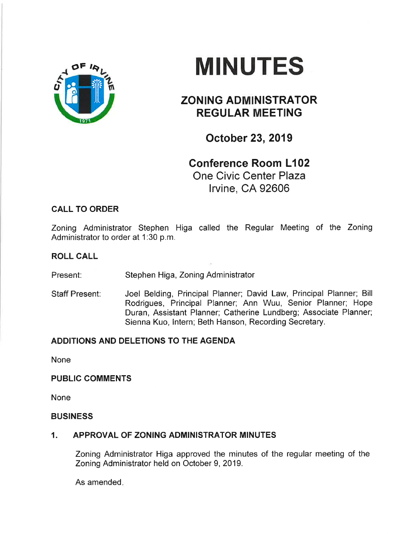

# MINUTES

# ZONING ADMINISTRATOR REGULAR MEETING

October 23,2019

## Conference Room L102 One Civic Center Plaza lrvine, CA 92606

## CALL TO ORDER

Zoning Administrator Stephen Higa called the Regular Meeting of the Zoning Administrator to order at 1:30 p.m.

### ROLL CALL

Present: Stephen Higa, Zoning Administrator

Staff Present: Joel Belding, Principal Planner; David Law, Principal Planner; Bill Rodrigues, Principal Planner; Ann Wuu, Senior Planner; Hope Duran, Assistant Planner; Catherine Lundberg; Associate Planner; Sienna Kuo, lntern; Beth Hanson, Recording Secretary.

## ADDITIONS AND DELETIONS TO THE AGENDA

None

#### PUBLIC COMMENTS

None

#### BUSINESS

#### 1. APPROVAL OF ZONING ADMINISTRATOR MINUTES

Zoning Administrator Higa approved the minutes of the regular meeting of the Zoning Administrator held on October 9, 2019.

As amended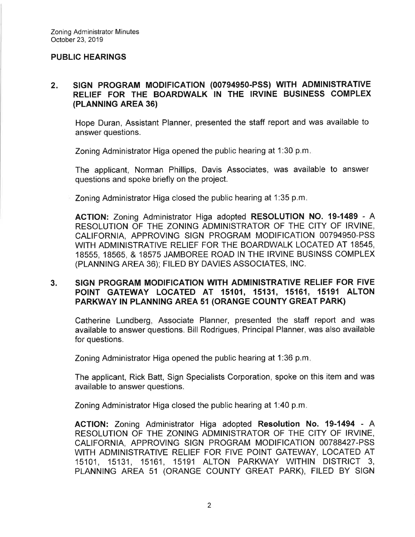#### PUBLIC HEARINGS

#### $2.$ SIGN PROGRAM MODIFICATION (00794950-PSS) WITH ADMINISTRATIVE RELIEF FOR THE BOARDWALK IN THE IRVINE BUSINESS COMPLEX (PLANNING AREA 36)

Hope Duran, Assistant Planner, presented the staff report and was available to answer questions.

Zoning Administrator Higa opened the public hearing at 1:30 p.m

The applicant, Norman Phillips, Davis Associates, was available to answer questions and spoke briefly on the project.

Zoning Administrator Higa closed the public hearing at 1:35 p.m

ACTION: Zoning Administrator Higa adopted RESOLUTION NO. 19-1489 - <sup>A</sup> RESOLUTION OF THE ZONING ADMINISTRATOR OF THE CITY OF IRVINE, CALIFORNIA, APPROVING SIGN PROGRAM MODIFICATION 00794950-PSS WITH ADMINISTRATIVE RELIEF FOR THE BOARDWALK LOCATED AT 18545, 18555, 18565, & 18575 JAMBOREE ROAD IN THE IRVINE BUSINSS COMPLEX (PLANNING AREA 36); FILED BY DAVIES ASSOCIATES, lNC.

#### 3. SIGN PROGRAM MODIFICATION WITH ADMINISTRATIVE RELIEF FOR FIVE POINT GATEWAY LOCATED AT 15101, 15131, 15161, 15191 ALTON PARKWAY IN PLANNING AREA 5T (ORANGE COUNTY GREAT PARK)

Catherine Lundberg, Associate Planner, presented the staff report and was available to answer questions. Bill Rodrigues, Principal Planner, was also available for questions.

Zoning Administrator Higa opened the public hearing at 1:36 p.m

The applicant, Rick Batt, Sign Specialists Corporation, spoke on this item and was available to answer questions.

Zoning Administrator Higa closed the public hearing at 1:40 p.m

AGTION: Zoning Administrator Higa adopted Resolution No. 19-1494 - <sup>A</sup> RESOLUTION OF THE ZONING ADMINISTRATOR OF THE CITY OF IRVINE, CALIFORNIA, APPROVING SIGN PROGRAM MODIFICATION 00788427-PSS WITH ADMINISTRATIVE RELIEF FOR FIVE POINT GATEWAY, LOCATED AT 15101, 15131, 15161, 15191 ALTON PARKWAY WITHIN DISTRICT 3, PLANNING AREA 51 (ORANGE COUNTY GREAT PARK), FILED BY SIGN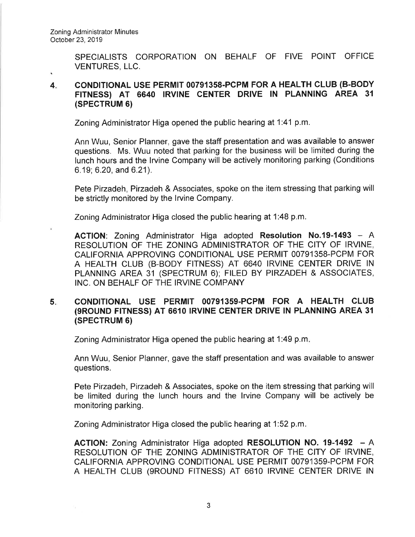SPECIALISTS CORPORATION ON BEHALF OF FIVE POINT OFFICE VENTURES, LLC.

#### 4 coNDlTloNAL USE PERMIT 00791358-PCPM FOR A HEALTH CLUB (B-BODY FITNESS) AT 6640 IRVINE CENTER DRIVE IN PLANNING AREA 31 (SPECTRUM 6)

Zoning Administrator Higa opened the public hearing at 1:41 p.m.

Ann Wuu, Senior Planner, gave the staff presentation and was available to answer questions. Ms. Wuu noted that parking for the business will be limited during the lunch hours and the lrvine Company will be actively monitoring parking (Conditions 6.19; 6.20, and 6.21).

Pete Pirzadeh, Pirzadeh & Associates, spoke on the item stressing that parking will be strictly monitored by the lrvine Company.

Zoning Administrator Higa closed the public hearing at 1:48 p.m.

ACTION: Zoning Administrator Higa adopted Resolution No.19-1493 - A RESOLUTION OF THE ZONING ADMINISTRATOR OF THE CITY OF IRVINE, CALIFORNIA APPROVING CONDITIONAL USE PERMIT 00791358-PCPM FOR A HEALTH CLUB (B-BODY FITNESS) AT 6640 IRVINE CENTER DRIVE lN PLANNING AREA 31 (SPECTRUM 6); FILED BY PIRZADEH & ASSOCIATES, INC. ON BEHALF OF THE IRVINE COMPANY

#### 5 CONDITIONAL USE PERMIT 00791359-PCPM FOR A HEALTH CLUB (9ROUND FITNESS) AT 6610 IRVINE CENTER DRIVE IN PLANNING AREA 31 (SPECTRUM 6)

Zoning Administrator Higa opened the public hearing at 1:49 p.m

Ann Wuu, Senior Planner, gave the staff presentation and was available to answer questions.

Pete Pirzadeh, Pirzadeh & Associates, spoke on the item stressing that parking will be limited during the lunch hours and the lrvine Company will be actively be monitoring parking.

Zoning Administrator Higa closed the public hearing at 1:52 p.m

ACTION: Zoning Administrator Higa adopted RESOLUTION NO. 19-1492 - A RESOLUTION OF THE ZONING ADMINISTRATOR OF THE CITY OF IRVINE, CALIFORNIA APPROVING CONDITIONAL USE PERMIT 00791359-PCPM FOR A HEALTH CLUB (9ROUND FITNESS) AT 6610 IRVINE CENTER DRIVE IN